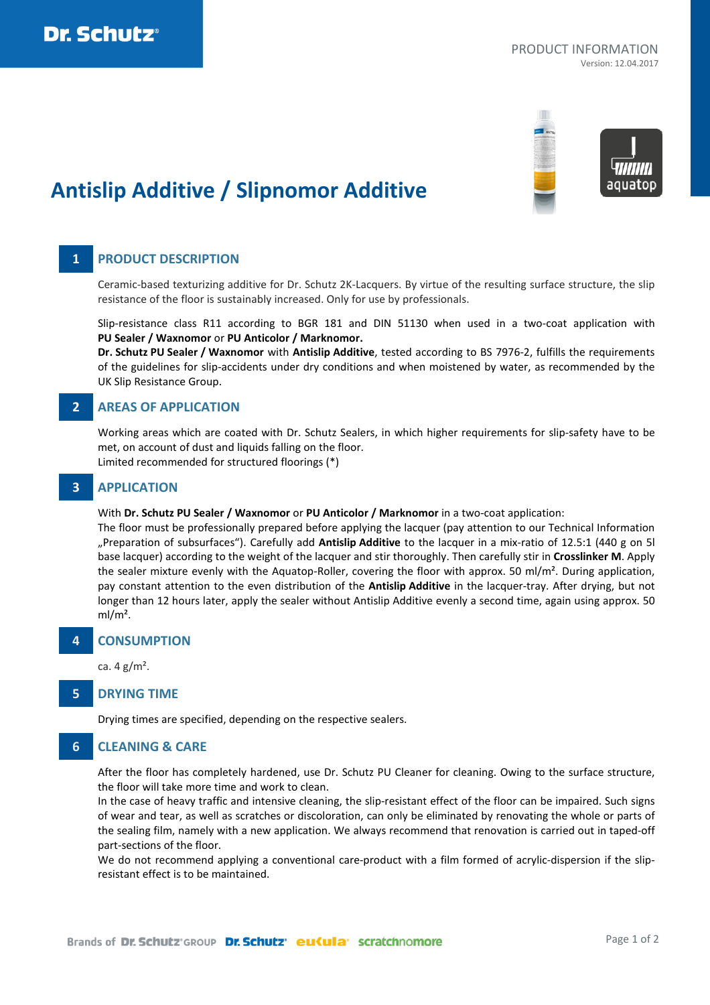

# **Antislip Additive / Slipnomor Additive**

## **1 PRODUCT DESCRIPTION**

Ceramic-based texturizing additive for Dr. Schutz 2K-Lacquers. By virtue of the resulting surface structure, the slip resistance of the floor is sustainably increased. Only for use by professionals.

Slip-resistance class R11 according to BGR 181 and DIN 51130 when used in a two-coat application with **PU Sealer / Waxnomor** or **PU Anticolor / Marknomor.**

**Dr. Schutz PU Sealer / Waxnomor** with **Antislip Additive**, tested according to BS 7976-2, fulfills the requirements of the guidelines for slip-accidents under dry conditions and when moistened by water, as recommended by the UK Slip Resistance Group.

## **2 AREAS OF APPLICATION**

Working areas which are coated with Dr. Schutz Sealers, in which higher requirements for slip-safety have to be met, on account of dust and liquids falling on the floor.

Limited recommended for structured floorings (\*)

## **3 APPLICATION**

#### With **Dr. Schutz PU Sealer / Waxnomor** or **PU Anticolor / Marknomor** in a two-coat application:

The floor must be professionally prepared before applying the lacquer (pay attention to our Technical Information "Preparation of subsurfaces"). Carefully add **Antislip Additive** to the lacquer in a mix-ratio of 12.5:1 (440 g on 5l base lacquer) according to the weight of the lacquer and stir thoroughly. Then carefully stir in **Crosslinker M**. Apply the sealer mixture evenly with the Aquatop-Roller, covering the floor with approx. 50 ml/m<sup>2</sup>. During application, pay constant attention to the even distribution of the **Antislip Additive** in the lacquer-tray. After drying, but not longer than 12 hours later, apply the sealer without Antislip Additive evenly a second time, again using approx. 50  $ml/m<sup>2</sup>$ .

## **4 CONSUMPTION**

ca.  $4 \text{ g/m}^2$ .

## **5 DRYING TIME**

Drying times are specified, depending on the respective sealers.

## **6 CLEANING & CARE**

After the floor has completely hardened, use Dr. Schutz PU Cleaner for cleaning. Owing to the surface structure, the floor will take more time and work to clean.

In the case of heavy traffic and intensive cleaning, the slip-resistant effect of the floor can be impaired. Such signs of wear and tear, as well as scratches or discoloration, can only be eliminated by renovating the whole or parts of the sealing film, namely with a new application. We always recommend that renovation is carried out in taped-off part-sections of the floor.

We do not recommend applying a conventional care-product with a film formed of acrylic-dispersion if the slipresistant effect is to be maintained.